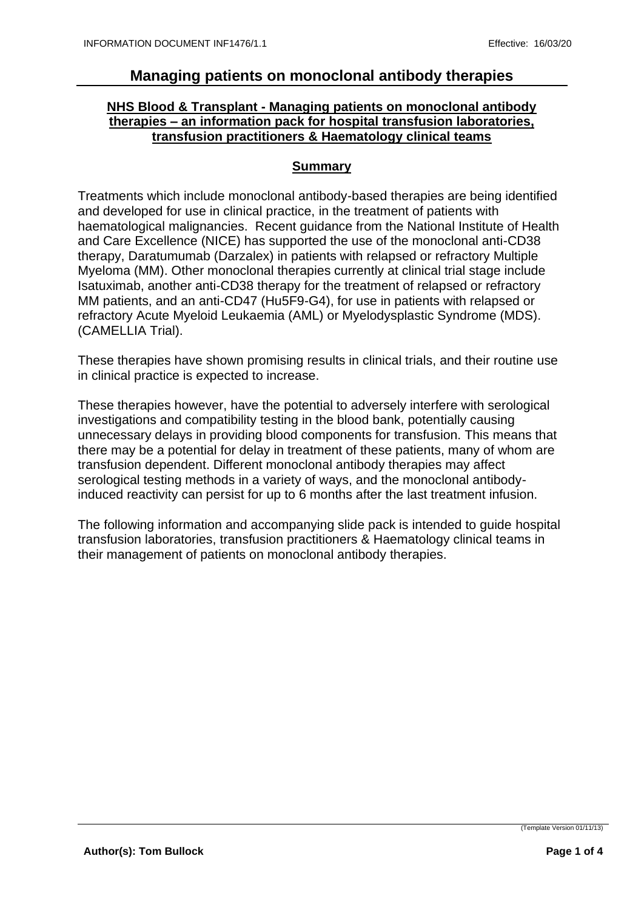## **NHS Blood & Transplant - Managing patients on monoclonal antibody therapies – an information pack for hospital transfusion laboratories, transfusion practitioners & Haematology clinical teams**

#### **Summary**

Treatments which include monoclonal antibody-based therapies are being identified and developed for use in clinical practice, in the treatment of patients with haematological malignancies. Recent guidance from the National Institute of Health and Care Excellence (NICE) has supported the use of the monoclonal anti-CD38 therapy, Daratumumab (Darzalex) in patients with relapsed or refractory Multiple Myeloma (MM). Other monoclonal therapies currently at clinical trial stage include Isatuximab, another anti-CD38 therapy for the treatment of relapsed or refractory MM patients, and an anti-CD47 (Hu5F9-G4), for use in patients with relapsed or refractory Acute Myeloid Leukaemia (AML) or Myelodysplastic Syndrome (MDS). (CAMELLIA Trial).

These therapies have shown promising results in clinical trials, and their routine use in clinical practice is expected to increase.

These therapies however, have the potential to adversely interfere with serological investigations and compatibility testing in the blood bank, potentially causing unnecessary delays in providing blood components for transfusion. This means that there may be a potential for delay in treatment of these patients, many of whom are transfusion dependent. Different monoclonal antibody therapies may affect serological testing methods in a variety of ways, and the monoclonal antibodyinduced reactivity can persist for up to 6 months after the last treatment infusion.

The following information and accompanying slide pack is intended to guide hospital transfusion laboratories, transfusion practitioners & Haematology clinical teams in their management of patients on monoclonal antibody therapies.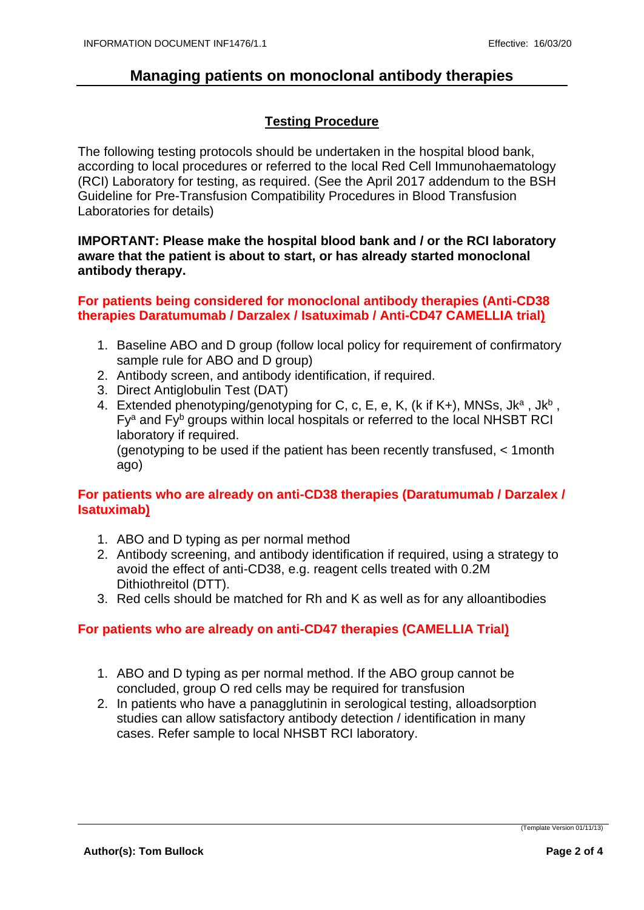## **Testing Procedure**

The following testing protocols should be undertaken in the hospital blood bank, according to local procedures or referred to the local Red Cell Immunohaematology (RCI) Laboratory for testing, as required. (See the April 2017 addendum to the BSH Guideline for Pre-Transfusion Compatibility Procedures in Blood Transfusion Laboratories for details)

#### **IMPORTANT: Please make the hospital blood bank and / or the RCI laboratory aware that the patient is about to start, or has already started monoclonal antibody therapy.**

#### **For patients being considered for monoclonal antibody therapies (Anti-CD38 therapies Daratumumab / Darzalex / Isatuximab / Anti-CD47 CAMELLIA trial)**

- 1. Baseline ABO and D group (follow local policy for requirement of confirmatory sample rule for ABO and D group)
- 2. Antibody screen, and antibody identification, if required.
- 3. Direct Antiglobulin Test (DAT)
- 4. Extended phenotyping/genotyping for C, c, E, e, K, (k if K+), MNSs, Jk<sup>a</sup>, Jk<sup>b</sup>, Fy<sup>a</sup> and Fy<sup>b</sup> groups within local hospitals or referred to the local NHSBT RCI laboratory if required.

(genotyping to be used if the patient has been recently transfused, < 1month ago)

### **For patients who are already on anti-CD38 therapies (Daratumumab / Darzalex / Isatuximab)**

- 1. ABO and D typing as per normal method
- 2. Antibody screening, and antibody identification if required, using a strategy to avoid the effect of anti-CD38, e.g. reagent cells treated with 0.2M Dithiothreitol (DTT).
- 3. Red cells should be matched for Rh and K as well as for any alloantibodies

### **For patients who are already on anti-CD47 therapies (CAMELLIA Trial)**

- 1. ABO and D typing as per normal method. If the ABO group cannot be concluded, group O red cells may be required for transfusion
- 2. In patients who have a panagglutinin in serological testing, alloadsorption studies can allow satisfactory antibody detection / identification in many cases. Refer sample to local NHSBT RCI laboratory.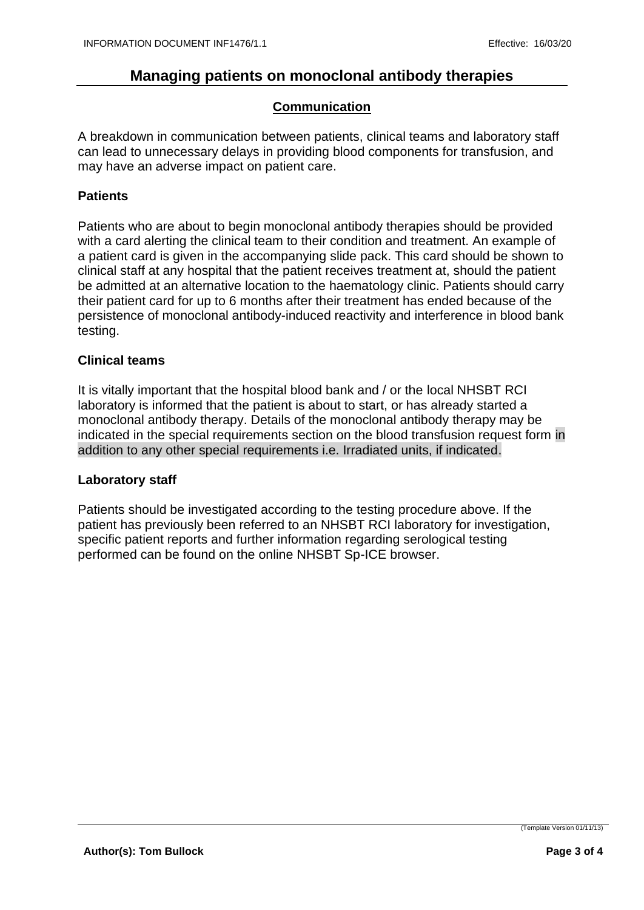#### **Communication**

A breakdown in communication between patients, clinical teams and laboratory staff can lead to unnecessary delays in providing blood components for transfusion, and may have an adverse impact on patient care.

#### **Patients**

Patients who are about to begin monoclonal antibody therapies should be provided with a card alerting the clinical team to their condition and treatment. An example of a patient card is given in the accompanying slide pack. This card should be shown to clinical staff at any hospital that the patient receives treatment at, should the patient be admitted at an alternative location to the haematology clinic. Patients should carry their patient card for up to 6 months after their treatment has ended because of the persistence of monoclonal antibody-induced reactivity and interference in blood bank testing.

#### **Clinical teams**

It is vitally important that the hospital blood bank and / or the local NHSBT RCI laboratory is informed that the patient is about to start, or has already started a monoclonal antibody therapy. Details of the monoclonal antibody therapy may be indicated in the special requirements section on the blood transfusion request form in addition to any other special requirements i.e. Irradiated units, if indicated.

#### **Laboratory staff**

Patients should be investigated according to the testing procedure above. If the patient has previously been referred to an NHSBT RCI laboratory for investigation, specific patient reports and further information regarding serological testing performed can be found on the online NHSBT Sp-ICE browser.